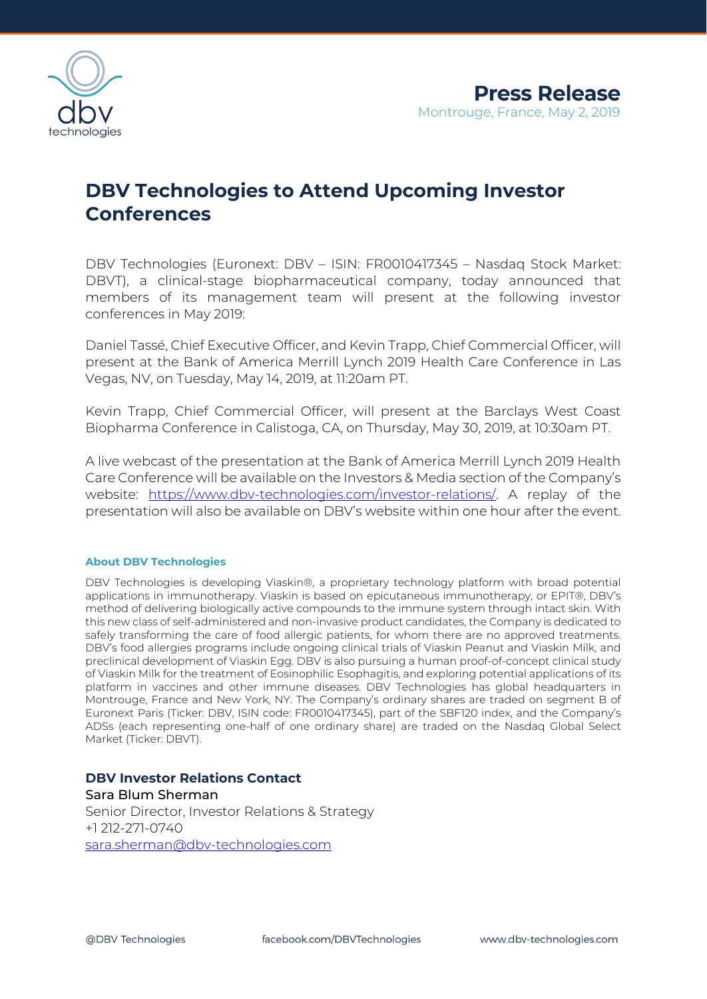

## **DBV Technologies to Attend Upcoming Investor Conferences**

DBV Technologies (Euronext: DBV – ISIN: FR0010417345 – Nasdaq Stock Market: DBVT), a clinical-stage biopharmaceutical company, today announced that members of its management team will present at the following investor conferences in May 2019:

Daniel Tassé, Chief Executive Officer, and Kevin Trapp, Chief Commercial Officer, will present at the Bank of America Merrill Lynch 2019 Health Care Conference in Las Vegas, NV, on Tuesday, May 14, 2019, at 11:20am PT.

Kevin Trapp, Chief Commercial Officer, will present at the Barclays West Coast Biopharma Conference in Calistoga, CA, on Thursday, May 30, 2019, at 10:30am PT.

A live webcast of the presentation at the Bank of America Merrill Lynch 2019 Health Care Conference will be available on the Investors & Media section of the Company's website: [https://www.dbv-technologies.com/investor-relations/.](https://www.dbv-technologies.com/investor-relations/) A replay of the presentation will also be available on DBV's website within one hour after the event.

## **About DBV Technologies**

DBV Technologies is developing Viaskin®, a proprietary technology platform with broad potential applications in immunotherapy. Viaskin is based on epicutaneous immunotherapy, or EPIT®, DBV's method of delivering biologically active compounds to the immune system through intact skin. With this new class of self-administered and non-invasive product candidates, the Company is dedicated to safely transforming the care of food allergic patients, for whom there are no approved treatments. DBV's food allergies programs include ongoing clinical trials of Viaskin Peanut and Viaskin Milk, and preclinical development of Viaskin Egg. DBV is also pursuing a human proof-of-concept clinical study of Viaskin Milk for the treatment of Eosinophilic Esophagitis, and exploring potential applications of its platform in vaccines and other immune diseases. DBV Technologies has global headquarters in Montrouge, France and New York, NY. The Company's ordinary shares are traded on segment B of Euronext Paris (Ticker: DBV, ISIN code: FR0010417345), part of the SBF120 index, and the Company's ADSs (each representing one-half of one ordinary share) are traded on the Nasdaq Global Select Market (Ticker: DBVT).

## **DBV Investor Relations Contact**

Sara Blum Sherman Senior Director, Investor Relations & Strategy +1 212-271-0740 [sara.sherman@dbv-technologies.com](mailto:sara.sherman@dbv-technologies.com)